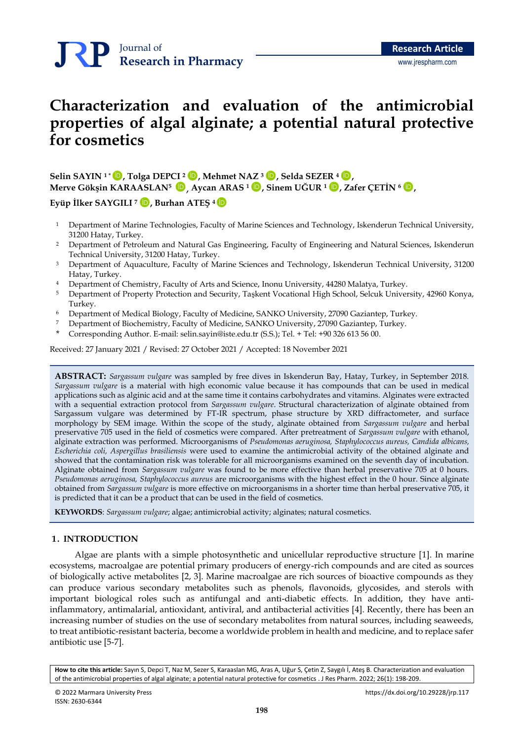# **Characterization and evaluation of the antimicrobial properties of algal alginate; a potential natural protective for cosmetics**

**Selin SAYIN <sup>1</sup> \* , Tolga DEPCI <sup>2</sup> , Mehmet NAZ <sup>3</sup> , Selda SEZER <sup>4</sup> ,** [İD](https://orcid.org/0000-0002-7497-388X) [İD](https://orcid.org/0000-0001-9562-8068) [İD](https://orcid.org/0000-0002-5129-8498) [İD](https://orcid.org/0000-0002-3136-1250) **Merve Gökşin KARAASLAN<sup>5</sup>** , **Aycan ARAS <sup>1</sup> , Sinem UĞUR <sup>1</sup> , Zafer ÇETİN <sup>6</sup> ,** [İD](https://orcid.org/0000-0003-2645-808X) [İD](https://orcid.org/0000-0001-5448-1522) [İD](https://orcid.org/0000-0003-4309-7415) [İD](https://orcid.org/0000-0003-0125-235X)

**Eyüp İlker SAYGILI <sup>7</sup> , Burhan ATEŞ <sup>4</sup>** [İD](https://orcid.org/0000-0002-0102-4237) [İD](https://orcid.org/0000-0001-6080-229X)

- <sup>1</sup> Department of Marine Technologies, Faculty of Marine Sciences and Technology, Iskenderun Technical University, 31200 Hatay, Turkey.
- <sup>2</sup> Department of Petroleum and Natural Gas Engineering, Faculty of Engineering and Natural Sciences, Iskenderun Technical University, 31200 Hatay, Turkey.
- <sup>3</sup> Department of Aquaculture, Faculty of Marine Sciences and Technology, Iskenderun Technical University, 31200 Hatay, Turkey.
- <sup>4</sup> Department of Chemistry, Faculty of Arts and Science, Inonu University, 44280 Malatya, Turkey.
- <sup>5</sup> Department of Property Protection and Security, Taşkent Vocational High School, Selcuk University, 42960 Konya, Turkey.
- <sup>6</sup> Department of Medical Biology, Faculty of Medicine, SANKO University, 27090 Gaziantep, Turkey.
- <sup>7</sup> Department of Biochemistry, Faculty of Medicine, SANKO University, 27090 Gaziantep, Turkey.
- \* Corresponding Author. E-mail: [selin.sayin@iste.edu.tr](mailto:selin.sayin@iste.edu.tr) (S.S.); Tel. + Tel: +90 326 613 56 00.

Received: 27 January 2021 / Revised: 27 October 2021 / Accepted: 18 November 2021

**ABSTRACT:** *Sargassum vulgare* was sampled by free dives in Iskenderun Bay, Hatay, Turkey, in September 2018. *Sargassum vulgare* is a material with high economic value because it has compounds that can be used in medical applications such as alginic acid and at the same time it contains carbohydrates and vitamins. Alginates were extracted with a sequential extraction protocol from *Sargassum vulgare*. Structural characterization of alginate obtained from Sargassum vulgare was determined by FT-IR spectrum, phase structure by XRD diffractometer, and surface morphology by SEM image. Within the scope of the study, alginate obtained from *Sargassum vulgare* and herbal preservative 705 used in the field of cosmetics were compared. After pretreatment of *Sargassum vulgare* with ethanol, alginate extraction was performed. Microorganisms of *Pseudomonas aeruginosa, Staphylococcus aureus, Candida albicans, Escherichia coli, Aspergillus brasiliensis* were used to examine the antimicrobial activity of the obtained alginate and showed that the contamination risk was tolerable for all microorganisms examined on the seventh day of incubation. Alginate obtained from *Sargassum vulgare* was found to be more effective than herbal preservative 705 at 0 hours. *Pseudomonas aeruginosa, Staphylococcus aureus* are microorganisms with the highest effect in the 0 hour. Since alginate obtained from *Sargassum vulgare* is more effective on microorganisms in a shorter time than herbal preservative 705, it is predicted that it can be a product that can be used in the field of cosmetics.

**KEYWORDS**: *Sargassum vulgare*; algae; antimicrobial activity; alginates; natural cosmetics.

## **1. INTRODUCTION**

Algae are plants with a simple photosynthetic and unicellular reproductive structure [1]. In marine ecosystems, macroalgae are potential primary producers of energy-rich compounds and are cited as sources of biologically active metabolites [2, 3]. Marine macroalgae are rich sources of bioactive compounds as they can produce various secondary metabolites such as phenols, flavonoids, glycosides, and sterols with important biological roles such as antifungal and anti-diabetic effects. In addition, they have antiinflammatory, antimalarial, antioxidant, antiviral, and antibacterial activities [4]. Recently, there has been an increasing number of studies on the use of secondary metabolites from natural sources, including seaweeds, to treat antibiotic-resistant bacteria, become a worldwide problem in health and medicine, and to replace safer antibiotic use [5-7].

**How to cite this article:** Sayın S, Depci T, Naz M, Sezer S, Karaaslan MG, Aras A, Uğur S, Çetin Z, Saygılı İ, Ateş B. Characterization and evaluation of the antimicrobial properties of algal alginate; a potential natural protective for cosmetics . J Res Pharm. 2022; 26(1): 198-209.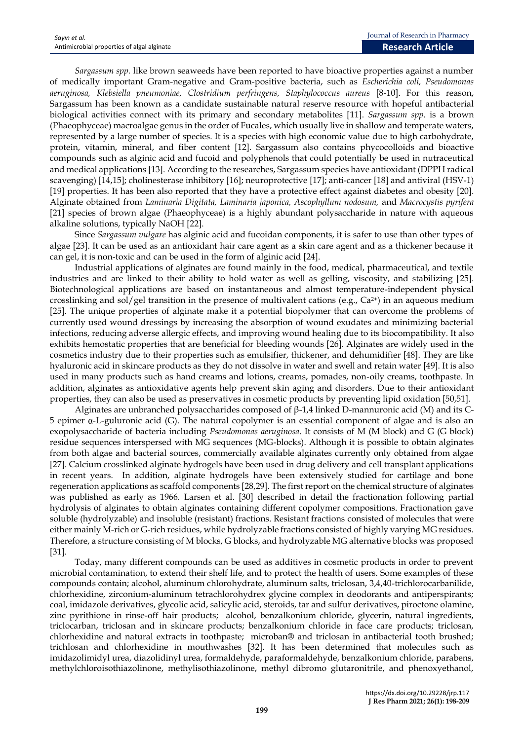*Sargassum spp.* like brown seaweeds have been reported to have bioactive properties against a number of medically important Gram-negative and Gram-positive bacteria, such as *Escherichia coli, Pseudomonas aeruginosa, Klebsiella pneumoniae, Clostridium perfringens, Staphylococcus aureus* [8-10]. For this reason, Sargassum has been known as a candidate sustainable natural reserve resource with hopeful antibacterial biological activities connect with its primary and secondary metabolites [11]. *Sargassum spp*. is a brown (Phaeophyceae) macroalgae genus in the order of Fucales, which usually live in shallow and temperate waters, represented by a large number of species. It is a species with high economic value due to high carbohydrate, protein, vitamin, mineral, and fiber content [12]. Sargassum also contains phycocolloids and bioactive compounds such as alginic acid and fucoid and polyphenols that could potentially be used in nutraceutical and medical applications [13]. According to the researches, Sargassum species have antioxidant (DPPH radical scavenging) [14,15]; cholinesterase inhibitory [16]; neuroprotective [17]; anti-cancer [18] and antiviral (HSV-1) [19] properties. It has been also reported that they have a protective effect against diabetes and obesity [20]. Alginate obtained from *Laminaria Digitata, Laminaria japonica, Ascophyllum nodosum,* and *Macrocystis pyrifera* [21] species of brown algae (Phaeophyceae) is a highly abundant polysaccharide in nature with aqueous alkaline solutions, typically NaOH [22].

Since *Sargassum vulgare* has alginic acid and fucoidan components, it is safer to use than other types of algae [23]. It can be used as an antioxidant hair care agent as a skin care agent and as a thickener because it can gel, it is non-toxic and can be used in the form of alginic acid [24].

Industrial applications of alginates are found mainly in the food, medical, pharmaceutical, and textile industries and are linked to their ability to hold water as well as gelling, viscosity, and stabilizing [25]. Biotechnological applications are based on instantaneous and almost temperature-independent physical crosslinking and sol/gel transition in the presence of multivalent cations (e.g.,  $Ca^{2+}$ ) in an aqueous medium [25]. The unique properties of alginate make it a potential biopolymer that can overcome the problems of currently used wound dressings by increasing the absorption of wound exudates and minimizing bacterial infections, reducing adverse allergic effects, and improving wound healing due to its biocompatibility. It also exhibits hemostatic properties that are beneficial for bleeding wounds [26]. Alginates are widely used in the cosmetics industry due to their properties such as emulsifier, thickener, and dehumidifier [48]. They are like hyaluronic acid in skincare products as they do not dissolve in water and swell and retain water [49]. It is also used in many products such as hand creams and lotions, creams, pomades, non-oily creams, toothpaste. In addition, alginates as antioxidative agents help prevent skin aging and disorders. Due to their antioxidant properties, they can also be used as preservatives in cosmetic products by preventing lipid oxidation [50,51].

Alginates are unbranched polysaccharides composed of  $β$ -1,4 linked D-mannuronic acid (M) and its C-5 epimer  $\alpha$ -L-guluronic acid (G). The natural copolymer is an essential component of algae and is also an exopolysaccharide of bacteria including *Pseudomonas aeruginosa*. It consists of M (M block) and G (G block) residue sequences interspersed with MG sequences (MG-blocks). Although it is possible to obtain alginates from both algae and bacterial sources, commercially available alginates currently only obtained from algae [27]. Calcium crosslinked alginate hydrogels have been used in drug delivery and cell transplant applications in recent years. In addition, alginate hydrogels have been extensively studied for cartilage and bone regeneration applications as scaffold components [28,29]. The first report on the chemical structure of alginates was published as early as 1966. Larsen et al. [30] described in detail the fractionation following partial hydrolysis of alginates to obtain alginates containing different copolymer compositions. Fractionation gave soluble (hydrolyzable) and insoluble (resistant) fractions. Resistant fractions consisted of molecules that were either mainly M-rich or G-rich residues, while hydrolyzable fractions consisted of highly varying MG residues. Therefore, a structure consisting of M blocks, G blocks, and hydrolyzable MG alternative blocks was proposed [31].

Today, many different compounds can be used as additives in cosmetic products in order to prevent microbial contamination, to extend their shelf life, and to protect the health of users. Some examples of these compounds contain; alcohol, aluminum chlorohydrate, aluminum salts, triclosan, 3,4,40-trichlorocarbanilide, chlorhexidine, zirconium-aluminum tetrachlorohydrex glycine complex in deodorants and antiperspirants; coal, imidazole derivatives, glycolic acid, salicylic acid, steroids, tar and sulfur derivatives, piroctone olamine, zinc pyrithione in rinse-off hair products; alcohol, benzalkonium chloride, glycerin, natural ingredients, triclocarban, triclosan and in skincare products; benzalkonium chloride in face care products; triclosan, chlorhexidine and natural extracts in toothpaste; microban® and triclosan in antibacterial tooth brushed; trichlosan and chlorhexidine in mouthwashes [32]. It has been determined that molecules such as imidazolimidyl urea, diazolidinyl urea, formaldehyde, paraformaldehyde, benzalkonium chloride, parabens, methylchloroisothiazolinone, methylisothiazolinone, methyl dibromo glutaronitrile, and phenoxyethanol,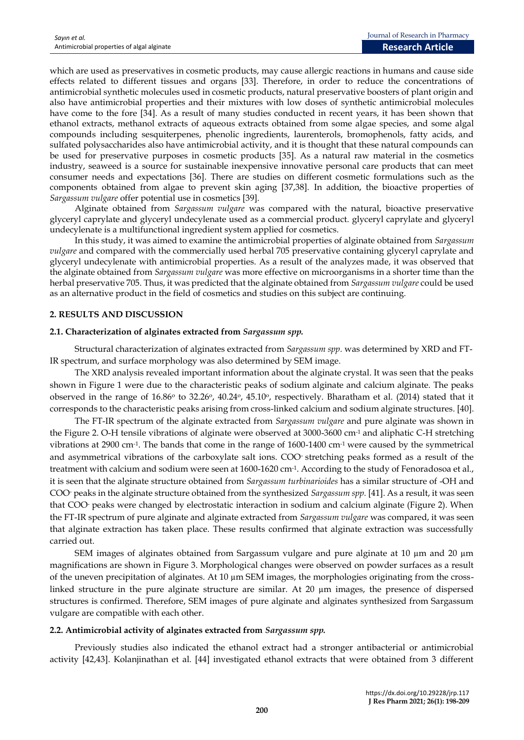which are used as preservatives in cosmetic products, may cause allergic reactions in humans and cause side effects related to different tissues and organs [33]. Therefore, in order to reduce the concentrations of antimicrobial synthetic molecules used in cosmetic products, natural preservative boosters of plant origin and also have antimicrobial properties and their mixtures with low doses of synthetic antimicrobial molecules have come to the fore [34]. As a result of many studies conducted in recent years, it has been shown that ethanol extracts, methanol extracts of aqueous extracts obtained from some algae species, and some algal compounds including sesquiterpenes, phenolic ingredients, laurenterols, bromophenols, fatty acids, and sulfated polysaccharides also have antimicrobial activity, and it is thought that these natural compounds can be used for preservative purposes in cosmetic products [35]. As a natural raw material in the cosmetics industry, seaweed is a source for sustainable inexpensive innovative personal care products that can meet consumer needs and expectations [36]. There are studies on different cosmetic formulations such as the components obtained from algae to prevent skin aging [37,38]. In addition, the bioactive properties of *Sargassum vulgare* offer potential use in cosmetics [39].

Alginate obtained from *Sargassum vulgare* was compared with the natural, bioactive preservative glyceryl caprylate and glyceryl undecylenate used as a commercial product. glyceryl caprylate and glyceryl undecylenate is a multifunctional ingredient system applied for cosmetics.

In this study, it was aimed to examine the antimicrobial properties of alginate obtained from *Sargassum vulgare* and compared with the commercially used herbal 705 preservative containing glyceryl caprylate and glyceryl undecylenate with antimicrobial properties. As a result of the analyzes made, it was observed that the alginate obtained from *Sargassum vulgare* was more effective on microorganisms in a shorter time than the herbal preservative 705. Thus, it was predicted that the alginate obtained from *Sargassum vulgare* could be used as an alternative product in the field of cosmetics and studies on this subject are continuing.

## **2. RESULTS AND DISCUSSION**

#### **2.1. Characterization of alginates extracted from** *Sargassum spp.*

Structural characterization of alginates extracted from *Sargassum spp.* was determined by XRD and FT-IR spectrum, and surface morphology was also determined by SEM image.

The XRD analysis revealed important information about the alginate crystal. It was seen that the peaks shown in Figure 1 were due to the characteristic peaks of sodium alginate and calcium alginate. The peaks observed in the range of 16.86° to 32.26°, 40.24°, 45.10°, respectively. Bharatham et al. (2014) stated that it corresponds to the characteristic peaks arising from cross-linked calcium and sodium alginate structures. [40].

The FT-IR spectrum of the alginate extracted from *Sargassum vulgare* and pure alginate was shown in the Figure 2. O-H tensile vibrations of alginate were observed at 3000-3600 cm<sup>-1</sup> and aliphatic C-H stretching vibrations at 2900 cm-1 . The bands that come in the range of 1600-1400 cm-1 were caused by the symmetrical and asymmetrical vibrations of the carboxylate salt ions. COO- stretching peaks formed as a result of the treatment with calcium and sodium were seen at 1600-1620 cm-1 . According to the study of Fenoradosoa et al., it is seen that the alginate structure obtained from *Sargassum turbinarioides* has a similar structure of -OH and COO- peaks in the alginate structure obtained from the synthesized *Sargassum spp.* [41]. As a result, it was seen that COO- peaks were changed by electrostatic interaction in sodium and calcium alginate (Figure 2). When the FT-IR spectrum of pure alginate and alginate extracted from *Sargassum vulgare* was compared, it was seen that alginate extraction has taken place. These results confirmed that alginate extraction was successfully carried out.

SEM images of alginates obtained from Sargassum vulgare and pure alginate at 10 µm and 20 µm magnifications are shown in Figure 3. Morphological changes were observed on powder surfaces as a result of the uneven precipitation of alginates. At 10  $\mu$ m SEM images, the morphologies originating from the crosslinked structure in the pure alginate structure are similar. At 20 µm images, the presence of dispersed structures is confirmed. Therefore, SEM images of pure alginate and alginates synthesized from Sargassum vulgare are compatible with each other.

#### **2.2. Antimicrobial activity of alginates extracted from** *Sargassum spp.*

Previously studies also indicated the ethanol extract had a stronger antibacterial or antimicrobial activity [42,43]. Kolanjinathan et al. [44] investigated ethanol extracts that were obtained from 3 different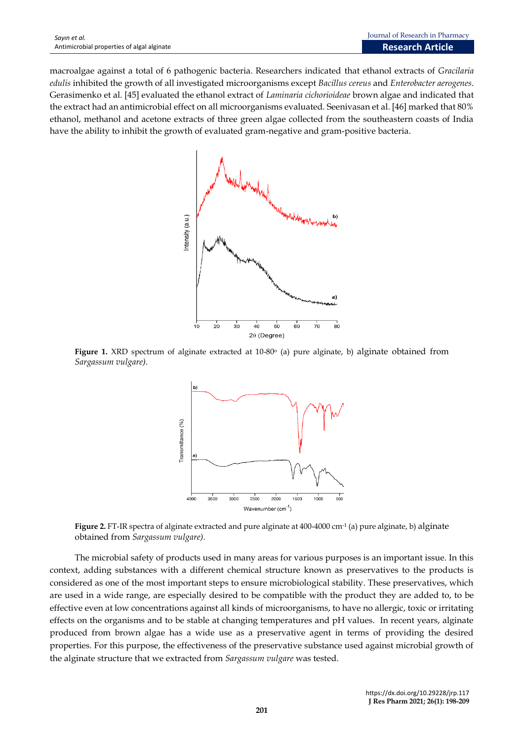macroalgae against a total of 6 pathogenic bacteria. Researchers indicated that ethanol extracts of *Gracilaria edulis* inhibited the growth of all investigated microorganisms except *Bacillus cereus* and *Enterobacter aerogenes*. Gerasimenko et al. [45] evaluated the ethanol extract of *Laminaria cichorioideae* brown algae and indicated that the extract had an antimicrobial effect on all microorganisms evaluated. Seenivasan et al. [46] marked that 80% ethanol, methanol and acetone extracts of three green algae collected from the southeastern coasts of India have the ability to inhibit the growth of evaluated gram-negative and gram-positive bacteria.



Figure 1. XRD spectrum of alginate extracted at 10-80<sup>o</sup> (a) pure alginate, b) alginate obtained from *Sargassum vulgare).*



**Figure 2.** FT-IR spectra of alginate extracted and pure alginate at 400-4000 cm-1 (a) pure alginate, b) alginate obtained from *Sargassum vulgare).*

The microbial safety of products used in many areas for various purposes is an important issue. In this context, adding substances with a different chemical structure known as preservatives to the products is considered as one of the most important steps to ensure microbiological stability. These preservatives, which are used in a wide range, are especially desired to be compatible with the product they are added to, to be effective even at low concentrations against all kinds of microorganisms, to have no allergic, toxic or irritating effects on the organisms and to be stable at changing temperatures and pH values. In recent years, alginate produced from brown algae has a wide use as a preservative agent in terms of providing the desired properties. For this purpose, the effectiveness of the preservative substance used against microbial growth of the alginate structure that we extracted from *Sargassum vulgare* was tested.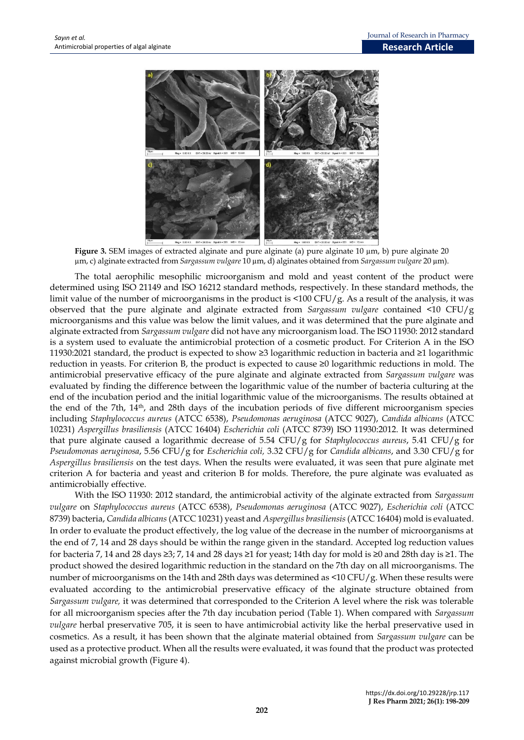

**Figure 3.** SEM images of extracted alginate and pure alginate (a) pure alginate 10 µm, b) pure alginate 20 µm, c) alginate extracted from *Sargassum vulgare* 10 µm, d) alginates obtained from *Sargassum vulgare* 20 µm).

The total aerophilic mesophilic microorganism and mold and yeast content of the product were determined using ISO 21149 and ISO 16212 standard methods, respectively. In these standard methods, the limit value of the number of microorganisms in the product is <100 CFU/g. As a result of the analysis, it was observed that the pure alginate and alginate extracted from *Sargassum vulgare* contained <10 CFU/g microorganisms and this value was below the limit values, and it was determined that the pure alginate and alginate extracted from *Sargassum vulgare* did not have any microorganism load. The ISO 11930: 2012 standard is a system used to evaluate the antimicrobial protection of a cosmetic product. For Criterion A in the ISO 11930:2021 standard, the product is expected to show ≥3 logarithmic reduction in bacteria and ≥1 logarithmic reduction in yeasts. For criterion B, the product is expected to cause ≥0 logarithmic reductions in mold. The antimicrobial preservative efficacy of the pure alginate and alginate extracted from *Sargassum vulgare* was evaluated by finding the difference between the logarithmic value of the number of bacteria culturing at the end of the incubation period and the initial logarithmic value of the microorganisms. The results obtained at the end of the 7th, 14th, and 28th days of the incubation periods of five different microorganism species including *Staphylococcus aureus* (ATCC 6538), *Pseudomonas aeruginosa* (ATCC 9027), *Candida albicans* (ATCC 10231) *Aspergillus brasiliensis* (ATCC 16404) *Escherichia coli* (ATCC 8739) ISO 11930:2012. It was determined that pure alginate caused a logarithmic decrease of 5.54 CFU/g for *Staphylococcus aureus*, 5.41 CFU/g for *Pseudomonas aeruginosa*, 5.56 CFU/g for *Escherichia coli,* 3.32 CFU/g for *Candida albicans*, and 3.30 CFU/g for *Aspergillus brasiliensis* on the test days. When the results were evaluated, it was seen that pure alginate met criterion A for bacteria and yeast and criterion B for molds. Therefore, the pure alginate was evaluated as antimicrobially effective.

With the ISO 11930: 2012 standard, the antimicrobial activity of the alginate extracted from *Sargassum vulgare* on *Staphylococcus aureus* (ATCC 6538), *Pseudomonas aeruginosa* (ATCC 9027), *Escherichia coli* (ATCC 8739) bacteria, *Candida albicans*(ATCC 10231) yeast and *Aspergillus brasiliensis*(ATCC 16404) mold is evaluated. In order to evaluate the product effectively, the log value of the decrease in the number of microorganisms at the end of 7, 14 and 28 days should be within the range given in the standard. Accepted log reduction values for bacteria 7, 14 and 28 days ≥3; 7, 14 and 28 days ≥1 for yeast; 14th day for mold is ≥0 and 28th day is ≥1. The product showed the desired logarithmic reduction in the standard on the 7th day on all microorganisms. The number of microorganisms on the 14th and 28th days was determined as <10 CFU/g. When these results were evaluated according to the antimicrobial preservative efficacy of the alginate structure obtained from *Sargassum vulgare,* it was determined that corresponded to the Criterion A level where the risk was tolerable for all microorganism species after the 7th day incubation period (Table 1). When compared with *Sargassum vulgare* herbal preservative 705, it is seen to have antimicrobial activity like the herbal preservative used in cosmetics. As a result, it has been shown that the alginate material obtained from *Sargassum vulgare* can be used as a protective product. When all the results were evaluated, it was found that the product was protected against microbial growth (Figure 4).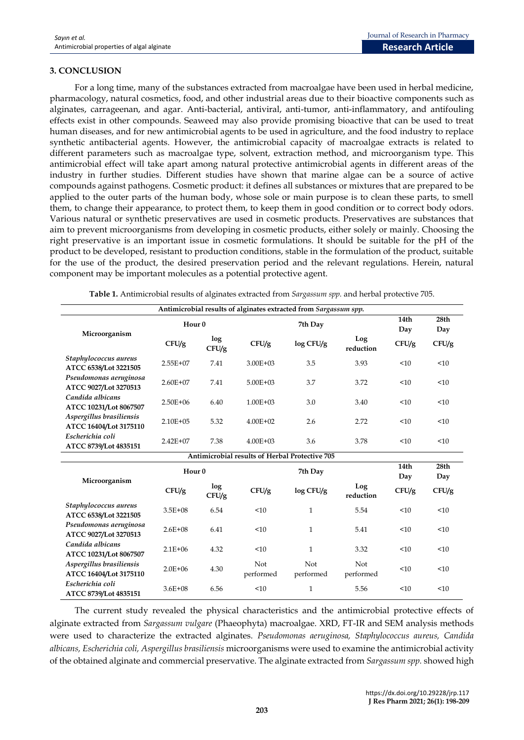## **3. CONCLUSION**

For a long time, many of the substances extracted from macroalgae have been used in herbal medicine, pharmacology, natural cosmetics, food, and other industrial areas due to their bioactive components such as alginates, carrageenan, and agar. Anti-bacterial, antiviral, anti-tumor, anti-inflammatory, and antifouling effects exist in other compounds. Seaweed may also provide promising bioactive that can be used to treat human diseases, and for new antimicrobial agents to be used in agriculture, and the food industry to replace synthetic antibacterial agents. However, the antimicrobial capacity of macroalgae extracts is related to different parameters such as macroalgae type, solvent, extraction method, and microorganism type. This antimicrobial effect will take apart among natural protective antimicrobial agents in different areas of the industry in further studies. Different studies have shown that marine algae can be a source of active compounds against pathogens. Cosmetic product: it defines all substances or mixtures that are prepared to be applied to the outer parts of the human body, whose sole or main purpose is to clean these parts, to smell them, to change their appearance, to protect them, to keep them in good condition or to correct body odors. Various natural or synthetic preservatives are used in cosmetic products. Preservatives are substances that aim to prevent microorganisms from developing in cosmetic products, either solely or mainly. Choosing the right preservative is an important issue in cosmetic formulations. It should be suitable for the pH of the product to be developed, resistant to production conditions, stable in the formulation of the product, suitable for the use of the product, the desired preservation period and the relevant regulations. Herein, natural component may be important molecules as a potential protective agent.

|                                                       |                   |              |                  | Antimicrobial results of alginates extracted from Sargassum spp. |                  |             |                         |  |  |
|-------------------------------------------------------|-------------------|--------------|------------------|------------------------------------------------------------------|------------------|-------------|-------------------------|--|--|
| Microorganism                                         | Hour <sub>0</sub> |              |                  | 7th Day                                                          | 14th<br>Day      | 28th<br>Day |                         |  |  |
|                                                       | CFU/g             | log<br>CFU/g | CFU/g            | log CFU/g                                                        | Log<br>reduction | CFU/g       | CFU/g                   |  |  |
| Staphylococcus aureus<br>ATCC 6538/Lot 3221505        | $2.55E+07$        | 7.41         | $3.00E + 03$     | 3.5                                                              | 3.93             | < 10        | <10                     |  |  |
| Pseudomonas aeruginosa<br>ATCC 9027/Lot 3270513       | $2.60E + 07$      | 7.41         | $5.00F + 03$     | 3.7                                                              | 3.72             | $10^{-1}$   | $10^{-1}$               |  |  |
| Candida albicans<br>ATCC 10231/Lot 8067507            | $2.50E + 06$      | 6.40         | $1.00E + 03$     | 3.0                                                              | 3.40             | < 10        | <10                     |  |  |
| Aspergillus brasiliensis<br>ATCC 16404/Lot 3175110    | $2.10E + 05$      | 5.32         | $4.00E + 02$     | 2.6                                                              | 2.72             | <10         | <10                     |  |  |
| Escherichia coli<br>ATCC 8739/Lot 4835151             | $2.42E + 07$      | 7.38         | $4.00E + 03$     | 3.6                                                              | 3.78             | < 10        | <10                     |  |  |
| <b>Antimicrobial results of Herbal Protective 705</b> |                   |              |                  |                                                                  |                  |             |                         |  |  |
| Microorganism                                         | Hour <sub>0</sub> |              | 7th Day          |                                                                  |                  | 14th<br>Day | 28 <sub>th</sub><br>Day |  |  |
|                                                       | CFU/g             | log<br>CFU/g | CFU/g            | log CFU/g                                                        | Log<br>reduction | CFU/g       | CFU/g                   |  |  |
| Staphylococcus aureus<br>ATCC 6538/Lot 3221505        | $3.5E + 08$       | 6.54         | < 10             | $\mathbf{1}$                                                     | 5.54             | <10         | <10                     |  |  |
| Pseudomonas aeruginosa<br>ATCC 9027/Lot 3270513       | $2.6E + 08$       | 6.41         | < 10             | $\mathbf{1}$                                                     | 5.41             | < 10        | <10                     |  |  |
| Candida albicans<br>ATCC 10231/Lot 8067507            | $2.1E + 06$       | 4.32         | < 10             | $\mathbf{1}$                                                     | 3.32             | < 10        | <10                     |  |  |
| Aspergillus brasiliensis<br>ATCC 16404/Lot 3175110    | $2.0E + 06$       | 4.30         | Not<br>performed | Not<br>performed                                                 | Not<br>performed | < 10        | <10                     |  |  |
| Escherichia coli<br>ATCC 8739/Lot 4835151             | $3.6E + 08$       | 6.56         | <10              | $\mathbf{1}$                                                     | 5.56             | <10         | <10                     |  |  |

**Table 1.** Antimicrobial results of alginates extracted from *Sargassum spp.* and herbal protective 705.

The current study revealed the physical characteristics and the antimicrobial protective effects of alginate extracted from *Sargassum vulgare* (Phaeophyta) macroalgae. XRD, FT-IR and SEM analysis methods were used to characterize the extracted alginates. *Pseudomonas aeruginosa, Staphylococcus aureus, Candida albicans, Escherichia coli, Aspergillus brasiliensis* microorganisms were used to examine the antimicrobial activity of the obtained alginate and commercial preservative. The alginate extracted from *Sargassum spp.* showed high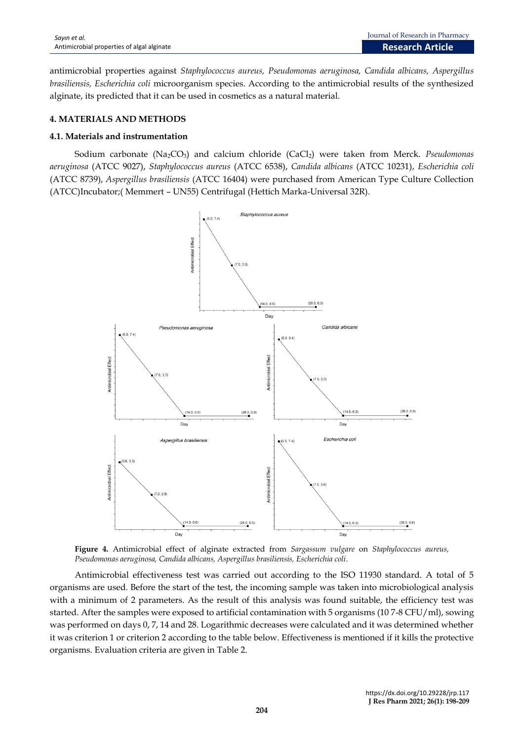antimicrobial properties against *Staphylococcus aureus, Pseudomonas aeruginosa, Candida albicans, Aspergillus brasiliensis, Escherichia coli* microorganism species. According to the antimicrobial results of the synthesized alginate, its predicted that it can be used in cosmetics as a natural material.

# **4. MATERIALS AND METHODS**

## **4.1. Materials and instrumentation**

Sodium carbonate (Na2CO3) and calcium chloride (CaCl2) were taken from Merck. *Pseudomonas aeruginosa* (ATCC 9027), *Staphylococcus aureus* (ATCC 6538), *Candida albicans* (ATCC 10231), *Escherichia coli* (ATCC 8739), *Aspergillus brasiliensis* (ATCC 16404) were purchased from American Type Culture Collection (ATCC)Incubator;( Memmert – UN55) Centrifugal (Hettich Marka-Universal 32R).



**Figure 4.** Antimicrobial effect of alginate extracted from *Sargassum vulgare* on *Staphylococcus aureus, Pseudomonas aeruginosa, Candida albicans, Aspergillus brasiliensis, Escherichia coli*.

Antimicrobial effectiveness test was carried out according to the ISO 11930 standard. A total of 5 organisms are used. Before the start of the test, the incoming sample was taken into microbiological analysis with a minimum of 2 parameters. As the result of this analysis was found suitable, the efficiency test was started. After the samples were exposed to artificial contamination with 5 organisms (10 7-8 CFU/ml), sowing was performed on days 0, 7, 14 and 28. Logarithmic decreases were calculated and it was determined whether it was criterion 1 or criterion 2 according to the table below. Effectiveness is mentioned if it kills the protective organisms. Evaluation criteria are given in Table 2.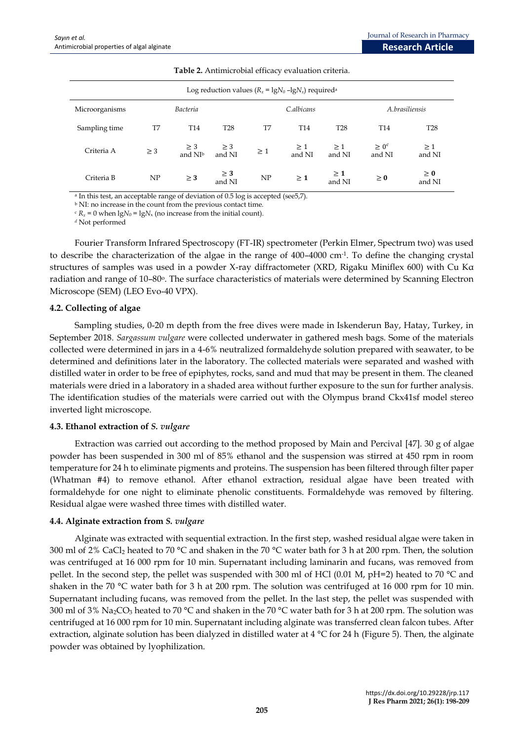| Log reduction values $(R_x = \lg N_0 - \lg N_x)$ required <sup>a</sup> |                 |                                 |                    |            |                    |                    |                      |                    |
|------------------------------------------------------------------------|-----------------|---------------------------------|--------------------|------------|--------------------|--------------------|----------------------|--------------------|
| Microorganisms                                                         | <b>Bacteria</b> |                                 |                    | C.albicans |                    |                    | A.brasiliensis       |                    |
| Sampling time                                                          | T7              | T <sub>14</sub>                 | <b>T28</b>         | T7         | T <sub>14</sub>    | <b>T28</b>         | T <sub>14</sub>      | <b>T28</b>         |
| Criteria A                                                             | $\geq$ 3        | $\geq$ 3<br>and NI <sup>b</sup> | $\geq 3$<br>and NI | $\geq 1$   | $\geq 1$<br>and NI | $\geq 1$<br>and NI | $\geq 0^c$<br>and NI | $\geq 1$<br>and NI |
| Criteria B                                                             | NP              | $\geq$ 3                        | $\geq$ 3<br>and NI | NP         | $\geq 1$           | $\geq 1$<br>and NI | $\geq 0$             | $\geq 0$<br>and NI |

a In this test, an acceptable range of deviation of 0.5 log is accepted (see5,7).

<sup>b</sup> NI: no increase in the count from the previous contact time.

 $c R_x = 0$  when  $lgN_0 = lgN_x$  (no increase from the initial count).

*<sup>d</sup>* Not performed

Fourier Transform Infrared Spectroscopy (FT-IR) spectrometer (Perkin Elmer, Spectrum two) was used to describe the characterization of the algae in the range of 400–4000 cm-1 . To define the changing crystal structures of samples was used in a powder X-ray diffractometer (XRD, Rigaku Miniflex 600) with Cu Kα radiation and range of 10–80°. The surface characteristics of materials were determined by Scanning Electron Microscope (SEM) (LEO Evo-40 VPX).

#### **4.2. Collecting of algae**

Sampling studies, 0-20 m depth from the free dives were made in Iskenderun Bay, Hatay, Turkey, in September 2018. *Sargassum vulgare* were collected underwater in gathered mesh bags. Some of the materials collected were determined in jars in a 4-6% neutralized formaldehyde solution prepared with seawater, to be determined and definitions later in the laboratory. The collected materials were separated and washed with distilled water in order to be free of epiphytes, rocks, sand and mud that may be present in them. The cleaned materials were dried in a laboratory in a shaded area without further exposure to the sun for further analysis. The identification studies of the materials were carried out with the Olympus brand Ckx41sf model stereo inverted light microscope.

## **4.3. Ethanol extraction of** *S. vulgare*

Extraction was carried out according to the method proposed by Main and Percival [47]. 30 g of algae powder has been suspended in 300 ml of 85% ethanol and the suspension was stirred at 450 rpm in room temperature for 24 h to eliminate pigments and proteins. The suspension has been filtered through filter paper (Whatman #4) to remove ethanol. After ethanol extraction, residual algae have been treated with formaldehyde for one night to eliminate phenolic constituents. Formaldehyde was removed by filtering. Residual algae were washed three times with distilled water.

## **4.4. Alginate extraction from** *S. vulgare*

Alginate was extracted with sequential extraction. In the first step, washed residual algae were taken in 300 ml of 2% CaCl<sub>2</sub> heated to 70 °C and shaken in the 70 °C water bath for 3 h at 200 rpm. Then, the solution was centrifuged at 16 000 rpm for 10 min. Supernatant including laminarin and fucans, was removed from pellet. In the second step, the pellet was suspended with 300 ml of HCl (0.01 M, pH=2) heated to 70 °C and shaken in the 70 °C water bath for 3 h at 200 rpm. The solution was centrifuged at 16 000 rpm for 10 min. Supernatant including fucans, was removed from the pellet. In the last step, the pellet was suspended with 300 ml of 3% Na2CO<sup>3</sup> heated to 70 °C and shaken in the 70 °C water bath for 3 h at 200 rpm. The solution was centrifuged at 16 000 rpm for 10 min. Supernatant including alginate was transferred clean falcon tubes. After extraction, alginate solution has been dialyzed in distilled water at 4 °C for 24 h (Figure 5). Then, the alginate powder was obtained by lyophilization.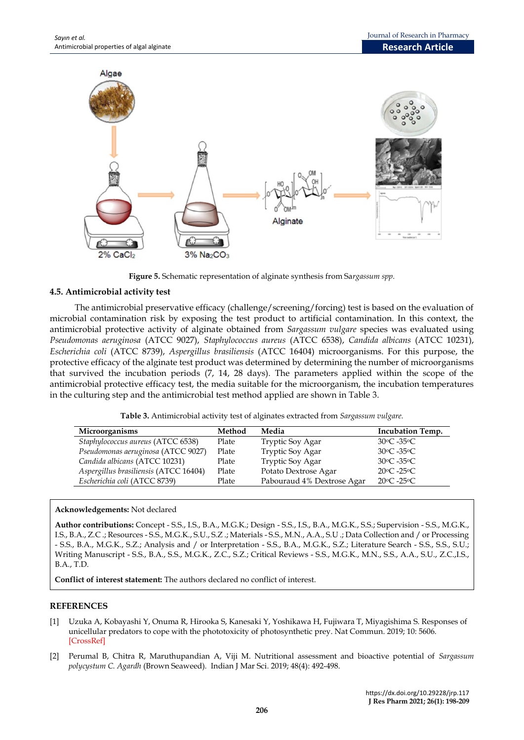

**Figure 5.** Schematic representation of alginate synthesis from Sa*rgassum spp.*

## **4.5. Antimicrobial activity test**

The antimicrobial preservative efficacy (challenge/screening/forcing) test is based on the evaluation of microbial contamination risk by exposing the test product to artificial contamination. In this context, the antimicrobial protective activity of alginate obtained from *Sargassum vulgare* species was evaluated using *Pseudomonas aeruginosa* (ATCC 9027), *Staphylococcus aureus* (ATCC 6538), *Candida albicans* (ATCC 10231), *Escherichia coli* (ATCC 8739), *Aspergillus brasiliensis* (ATCC 16404) microorganisms. For this purpose, the protective efficacy of the alginate test product was determined by determining the number of microorganisms that survived the incubation periods (7, 14, 28 days). The parameters applied within the scope of the antimicrobial protective efficacy test, the media suitable for the microorganism, the incubation temperatures in the culturing step and the antimicrobial test method applied are shown in Table 3.

| Table 3. Antimicrobial activity test of alginates extracted from Sargassum vulgare. |  |  |  |
|-------------------------------------------------------------------------------------|--|--|--|
|                                                                                     |  |  |  |

| Microorganisms                        | Method | Media                      | <b>Incubation Temp.</b>         |
|---------------------------------------|--------|----------------------------|---------------------------------|
| Staphylococcus aureus (ATCC 6538)     | Plate  | <b>Tryptic Soy Agar</b>    | 30°C -35°C                      |
| Pseudomonas aeruginosa (ATCC 9027)    | Plate  | Tryptic Soy Agar           | $30^{\circ}$ C -35 $^{\circ}$ C |
| Candida albicans (ATCC 10231)         | Plate  | Tryptic Soy Agar           | $30^{\circ}$ C -35 $^{\circ}$ C |
| Aspergillus brasiliensis (ATCC 16404) | Plate  | Potato Dextrose Agar       | $20^{\circ}$ C -25 $^{\circ}$ C |
| Escherichia coli (ATCC 8739)          | Plate  | Pabouraud 4% Dextrose Agar | $20^{\circ}$ C -25 $^{\circ}$ C |

## **Acknowledgements:** Not declared

**Author contributions:** Concept - S.S., I.S., B.A., M.G.K.; Design - S.S., I.S., B.A., M.G.K., S.S.; Supervision - S.S., M.G.K., I.S., B.A., Z.C .; Resources - S.S., M.G.K., S.U., S.Z .; Materials - S.S., M.N., A.A., S.U .; Data Collection and / or Processing - S.S., B.A., M.G.K., S.Z.; Analysis and / or Interpretation - S.S., B.A., M.G.K., S.Z.; Literature Search - S.S., S.S., S.U.; Writing Manuscript - S.S., B.A., S.S., M.G.K., Z.C., S.Z.; Critical Reviews - S.S., M.G.K., M.N., S.S., A.A., S.U., Z.C.,I.S., B.A., T.D.

**Conflict of interest statement:** The authors declared no conflict of interest.

## **REFERENCES**

- [1] Uzuka A, Kobayashi Y, Onuma R, Hirooka S, Kanesaki Y, Yoshikawa H, Fujiwara T, Miyagishima S. Responses of unicellular predators to cope with the phototoxicity of photosynthetic prey. Nat Commun. 2019; 10: 5606[.](https://doi.org/10.1038/s41467-019-13568-6) [\[CrossRef\]](https://doi.org/10.1038/s41467-019-13568-6)
- [2] Perumal B, Chitra R, Maruthupandian A, Viji M. Nutritional assessment and bioactive potential of *Sargassum polycystum C. Agardh* (Brown Seaweed). Indian J Mar Sci. 2019; 48(4): 492-498.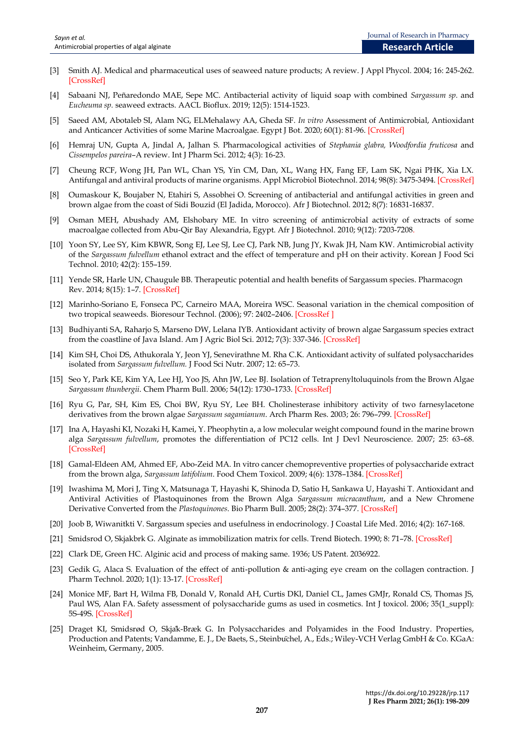- [3] Smith AJ. Medical and pharmaceutical uses of seaweed nature products; A review. J Appl Phycol. 2004; 16: 245-262. [\[CrossRef\]](http://doi.org/10.1023/B:JAPH.0000047783.36600.ef)
- [4] Sabaani NJ, Peñaredondo MAE, Sepe MC. Antibacterial activity of liquid soap with combined *Sargassum sp.* and *Eucheuma sp.* seaweed extracts. AACL Bioflux. 2019; 12(5): 1514-1523.
- [5] Saeed AM, Abotaleb SI, Alam NG, ELMehalawy AA, Gheda SF. *In vitro* Assessment of Antimicrobial, Antioxidant and Anticancer Activities of some Marine Macroalgae. Egypt J Bot. 2020; 60(1): 81-96. [\[CrossRef\]](https://doi.org/10.21608/ejbo.2019.11363.1303)
- [6] Hemraj UN, Gupta A, Jindal A, Jalhan S. Pharmacological activities of *Stephania glabra, Woodfordia fruticosa* and *Cissempelos pareira*–A review. Int J Pharm Sci. 2012; 4(3): 16-23.
- [7] Cheung RCF, Wong JH, Pan WL, Chan YS, Yin CM, Dan, XL, Wang HX, Fang EF, Lam SK, Ngai PHK, Xia LX. Antifungal and antiviral products of marine organisms. Appl Microbiol Biotechnol. 2014; 98(8): 3475-3494. [\[CrossRef\]](https://doi.org/10.1007/s00253-014-5575-0)
- [8] Oumaskour K, Boujaber N, Etahiri S, Assobhei O. Screening of antibacterial and antifungal activities in green and brown algae from the coast of Sidi Bouzid (El Jadida, Morocco). Afr J Biotechnol. 2012; 8(7): 16831-1683[7.](https://www.ajol.info/index.php/ajb/article/view/130066)
- [9] Osman MEH, Abushady AM, Elshobary ME. In vitro screening of antimicrobial activity of extracts of some macroalgae collected from Abu-Qir Bay Alexandria, Egypt. Afr J Biotechnol. 2010; 9(12): 7203-720[8.](https://www.ajol.info/index.php/ajb/article/view/130331)
- [10] Yoon SY, Lee SY, Kim KBWR, Song EJ, Lee SJ, Lee CJ, Park NB, Jung JY, Kwak JH, Nam KW. Antimicrobial activity of the *Sargassum fulvellum* ethanol extract and the effect of temperature and pH on their activity. Korean J Food Sci Technol. 2010; 42(2): 155–159.
- [11] Yende SR, Harle UN, Chaugule BB. Therapeutic potential and health benefits of Sargassum species. Pharmacogn Rev. 2014; 8(15): 1–7. [\[CrossRef\]](https://doi.org/10.4103/0973-7847.125514)
- [12] Marinho-Soriano E, Fonseca PC, Carneiro MAA, Moreira WSC. Seasonal variation in the chemical composition of two tropical seaweeds. Bioresour Technol. (2006); 97: 2402–2406. [\[CrossRef](https://doi.org/10.1016/j.biortech.2005.10.014) ]
- [13] Budhiyanti SA, Raharjo S, Marseno DW, Lelana IYB. Antioxidant activity of brown algae Sargassum species extract from the coastline of Java Island. Am J Agric Biol Sci. 2012; 7(3): 337-346. [\[CrossRef\]](https://doi.org/10.3844/ajabssp.2012.337.346)
- [14] Kim SH, Choi DS, Athukorala Y, Jeon YJ, Senevirathne M. Rha C.K. Antioxidant activity of sulfated polysaccharides isolated from *Sargassum fulvellum.* J Food Sci Nutr. 2007; 12: 65–73.
- [15] Seo Y, Park KE, Kim YA, Lee HJ, Yoo JS, Ahn JW, Lee BJ. Isolation of Tetraprenyltoluquinols from the Brown Algae *Sargassum thunbergii*. Chem Pharm Bull. 2006; 54(12): 1730–1733. [\[CrossRef\]](https://doi.org/10.1248/cpb.54.1730)
- [16] Ryu G, Par, SH, Kim ES, Choi BW, Ryu SY, Lee BH. Cholinesterase inhibitory activity of two farnesylacetone derivatives from the brown algae *Sargassum sagamianum*. Arch Pharm Res. 2003; 26: 796–799. [\[CrossRef\]](https://doi.org/10.1007/bf02980022)
- [17] Ina A, Hayashi KI, Nozaki H, Kamei, Y. Pheophytin a, a low molecular weight compound found in the marine brown alga *Sargassum fulvellum*, promotes the differentiation of PC12 cells. Int J Devl Neuroscience. 2007; 25: 63–68. [\[CrossRef\]](https://doi.org/10.1016/j.ijdevneu.2006.09.323)
- [18] Gamal-Eldeen AM, Ahmed EF, Abo-Zeid MA. In vitro cancer chemopreventive properties of polysaccharide extract from the brown alga, *Sargassum latifolium*. Food Chem Toxicol. 2009; 4(6): 1378–1384. [\[CrossRef\]](https://doi.org/10.1016/j.fct.2009.03.016)
- [19] Iwashima M, Mori J, Ting X, Matsunaga T, Hayashi K, Shinoda D, Satio H, Sankawa U, Hayashi T. Antioxidant and Antiviral Activities of Plastoquinones from the Brown Alga *Sargassum micracanthum*, and a New Chromene Derivative Converted from the *Plastoquinones*. Bio Pharm Bull. 2005; 28(2): 374–377. [\[CrossRef\]](https://doi.org/10.1248/bpb.28.374)
- [20] Joob B, Wiwanitkti V. Sargassum species and usefulness in endocrinology. J Coastal Life Med. 2016; 4(2): 167-168.
- [21] Smidsrod O, Skjakbrk G. Alginate as immobilization matrix for cells. Trend Biotech. 1990; 8: 71–78. [\[CrossRef\]](https://doi.org/10.1016/0167-7799(90)90139-O)
- [22] Clark DE, Green HC. Alginic acid and process of making same. 1936; US Patent. 2036922.
- [23] Gedik G, Alaca S. Evaluation of the effect of anti-pollution & anti-aging eye cream on the collagen contraction. J Pharm Technol. 2020; 1(1): 13-17. [\[CrossRef\]](https://doi.org/10.37662/jpt.2020.2)
- [24] Monice MF, Bart H, Wilma FB, Donald V, Ronald AH, Curtis DKl, Daniel CL, James GMJr, Ronald CS, Thomas JS, Paul WS, Alan FA. Safety assessment of polysaccharide gums as used in cosmetics. Int J toxicol. 2006; 35(1\_suppl): 5S-49S. [\[CrossRef\]](https://doi.org/10.1177%2F1091581816651606)
- [25] Draget KI, Smidsrød O, Skjåk-Bræk G. In Polysaccharides and Polyamides in the Food Industry. Properties, Production and Patents; Vandamme, E. J., De Baets, S., Steinbüchel, A., Eds.; Wiley-VCH Verlag GmbH & Co. KGaA: Weinheim, Germany, 2005.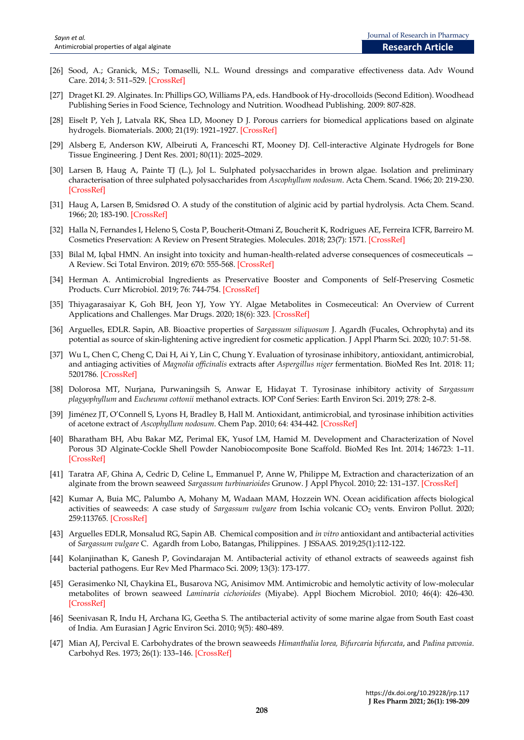- [26] Sood, A.; Granick, M.S.; Tomaselli, N.L. Wound dressings and comparative effectiveness data. Adv Wound Care. 2014; 3: 511–529. [\[CrossRef\]](https://dx.doi.org/10.1089/wound.2012.0401)
- [27] Draget KI. 29. Alginates. In: Phillips GO, Williams PA, eds. Handbook of Hy-drocolloids (Second Edition). Woodhead Publishing Series in Food Science, Technology and Nutrition. Woodhead Publishing. 2009: 807-828.
- [28] Eiselt P, Yeh J, Latvala RK, Shea LD, Mooney D J. Porous carriers for biomedical applications based on alginate hydrogels. Biomaterials. 2000; 21(19): 1921–1927. [\[CrossRef\]](http://doi.org/10.1016/s0142-9612(00)00033-8)
- [29] Alsberg E, Anderson KW, Albeiruti A, Franceschi RT, Mooney DJ. Cell-interactive Alginate Hydrogels for Bone Tissue Engineering. J Dent Res. 2001; 80(11): 2025–2029.
- [30] Larsen B, Haug A, Painte TJ (L.), Jol L. Sulphated polysaccharides in brown algae. Isolation and preliminary characterisation of three sulphated polysaccharides from *Ascophyllum nodosum*. Acta Chem. Scand. 1966; 20: 219-230. [\[CrossRef\]](http://doi.org/10.3891/acta.chem.scand.20-0219)
- [31] Haug A, Larsen B, Smidsrød O. A study of the constitution of alginic acid by partial hydrolysis. Acta Chem. Scand. 1966; 20; 183-190. [\[CrossRef\]](https://doi.org/10.1016/B978-0-08-011841-3.50043-4)
- [32] Halla N, Fernandes I, Heleno S, Costa P, Boucherit-Otmani Z, Boucherit K, Rodrigues AE, Ferreira ICFR, Barreiro M. Cosmetics Preservation: A Review on Present Strategies. Molecules. 2018; 23(7): 1571. [\[CrossRef\]](https://doi.org/10.3390/molecules23071571)
- [33] Bilal M, Iqbal HMN. An insight into toxicity and human-health-related adverse consequences of cosmeceuticals A Review. Sci Total Environ. 2019; 670: 555-568. [\[CrossRef\]](https://doi.org/10.1016/j.scitotenv.2019.03.261)
- [34] Herman A. Antimicrobial Ingredients as Preservative Booster and Components of Self-Preserving Cosmetic Products. Curr Microbiol. 2019; 76: 744-754. [\[CrossRef\]](https://doi.org/10.1007/s00284-018-1492-2)
- [35] Thiyagarasaiyar K, Goh BH, Jeon YJ, Yow YY. Algae Metabolites in Cosmeceutical: An Overview of Current Applications and Challenges. Mar Drugs. 2020; 18(6): 323. [\[CrossRef\]](https://doi.org/10.3390/md18060323)
- [36] Arguelles, EDLR. Sapin, AB. Bioactive properties of *Sargassum siliquosum* J. Agardh (Fucales, Ochrophyta) and its potential as source of skin-lightening active ingredient for cosmetic application. J Appl Pharm Sci. 2020; 10.7: 51-58.
- [37] Wu L, Chen C, Cheng C, Dai H, Ai Y, Lin C, Chung Y. Evaluation of tyrosinase inhibitory, antioxidant, antimicrobial, and antiaging activities of *Magnolia officinalis* extracts after *Aspergillus niger* fermentation. BioMed Res Int. 2018: 11; 5201786. [\[CrossRef\]](https://doi.org/10.1155/2018/5201786)
- [38] Dolorosa MT, Nurjana, Purwaningsih S, Anwar E, Hidayat T. Tyrosinase inhibitory activity of *Sargassum plagyophyllum* and *Eucheuma cottonii* methanol extracts. IOP Conf Series: Earth Environ Sci. 2019; 278: 2–8.
- [39] Jiménez JT, O'Connell S, Lyons H, Bradley B, Hall M. Antioxidant, antimicrobial, and tyrosinase inhibition activities of acetone extract of *Ascophyllum nodosum*. Chem Pap. 2010; 64: 434-442. [\[CrossRef\]](https://doi.org/10.2478/s11696-010-0024-8)
- [40] Bharatham BH, Abu Bakar MZ, Perimal EK, Yusof LM, Hamid M. Development and Characterization of Novel Porous 3D Alginate-Cockle Shell Powder Nanobiocomposite Bone Scaffold. BioMed Res Int. 2014; 146723: 1–11. [\[CrossRef\]](https://doi.org/10.1155/2014/146723)
- [41] Taratra AF, Ghina A, Cedric D, Celine L, Emmanuel P, Anne W, Philippe M, Extraction and characterization of an alginate from the brown seaweed *Sargassum turbinarioides* Grunow. J Appl Phycol. 2010; 22: 131–137[. \[CrossRef\]](https://doi.org/10.1007/s10811-009-9432-y)
- [42] Kumar A, Buia MC, Palumbo A, Mohany M, Wadaan MAM, Hozzein WN. Ocean acidification affects biological activities of seaweeds: A case study of *Sargassum vulgare* from Ischia volcanic CO<sub>2</sub> vents. Environ Pollut. 2020; 259:113765[. \[CrossRef\]](https://doi.org/10.1016/j.envpol.2019.113765)
- [43] Arguelles EDLR, Monsalud RG, Sapin AB. Chemical composition and *in vitro* antioxidant and antibacterial activities of *Sargassum vulgare* C. Agardh from Lobo, Batangas, Philippines. J ISSAAS. 2019;25(1):112-122.
- [44] Kolanjinathan K, Ganesh P, Govindarajan M. Antibacterial activity of ethanol extracts of seaweeds against fish bacterial pathogens. Eur Rev Med Pharmaco Sci. 2009; 13(3): 173-177.
- [45] Gerasimenko NI, Chaykina EL, Busarova NG, Anisimov MM. Antimicrobic and hemolytic activity of low-molecular metabolites of brown seaweed *Laminaria cichorioides* (Miyabe). Appl Biochem Microbiol. 2010; 46(4): 426-430. [\[CrossRef\]](https://doi.org/10.1134/s0003683810040113)
- [46] Seenivasan R, Indu H, Archana IG, Geetha S. The antibacterial activity of some marine algae from South East coast of India. Am Eurasian J Agric Environ Sci. 2010; 9(5): 480-489.
- [47] Mian AJ, Percival E. Carbohydrates of the brown seaweeds *Himanthalia lorea, Bifurcaria bifurcata*, and *Padina pavonia*. Carbohyd Res. 1973; 26(1): 133–146. [\[CrossRef\]](https://doi.org/10.1016/S0008-6215(00)85030-2)